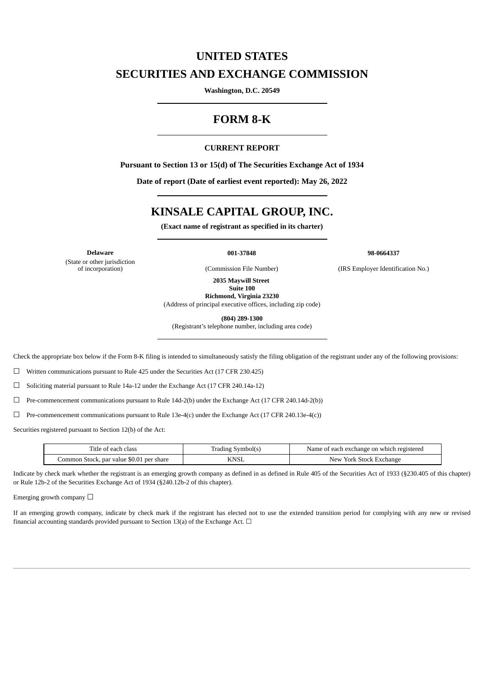## **UNITED STATES**

## **SECURITIES AND EXCHANGE COMMISSION**

**Washington, D.C. 20549**

## **FORM 8-K**

### **CURRENT REPORT**

**Pursuant to Section 13 or 15(d) of The Securities Exchange Act of 1934**

**Date of report (Date of earliest event reported): May 26, 2022**

# **KINSALE CAPITAL GROUP, INC.**

**(Exact name of registrant as specified in its charter)**

(State or other jurisdiction<br>of incorporation)

**Delaware 001-37848 98-0664337**

(Commission File Number) (IRS Employer Identification No.)

**2035 Maywill Street Suite 100**

**Richmond, Virginia 23230** (Address of principal executive offices, including zip code)

**(804) 289-1300**

(Registrant's telephone number, including area code)

Check the appropriate box below if the Form 8-K filing is intended to simultaneously satisfy the filing obligation of the registrant under any of the following provisions:

☐ Written communications pursuant to Rule 425 under the Securities Act (17 CFR 230.425)

☐ Soliciting material pursuant to Rule 14a-12 under the Exchange Act (17 CFR 240.14a-12)

 $\Box$  Pre-commencement communications pursuant to Rule 14d-2(b) under the Exchange Act (17 CFR 240.14d-2(b))

 $\Box$  Pre-commencement communications pursuant to Rule 13e-4(c) under the Exchange Act (17 CFR 240.13e-4(c))

Securities registered pursuant to Section 12(b) of the Act:

| l'itle of each class                     | Trading Symbol(s) | Name of each exchange on which registered |
|------------------------------------------|-------------------|-------------------------------------------|
| Common Stock, par value \$0.01 per share | <b>KNSL</b>       | New York Stock Exchange                   |

Indicate by check mark whether the registrant is an emerging growth company as defined in as defined in Rule 405 of the Securities Act of 1933 (§230.405 of this chapter) or Rule 12b-2 of the Securities Exchange Act of 1934 (§240.12b-2 of this chapter).

Emerging growth company  $\Box$ 

If an emerging growth company, indicate by check mark if the registrant has elected not to use the extended transition period for complying with any new or revised financial accounting standards provided pursuant to Section 13(a) of the Exchange Act.  $\Box$